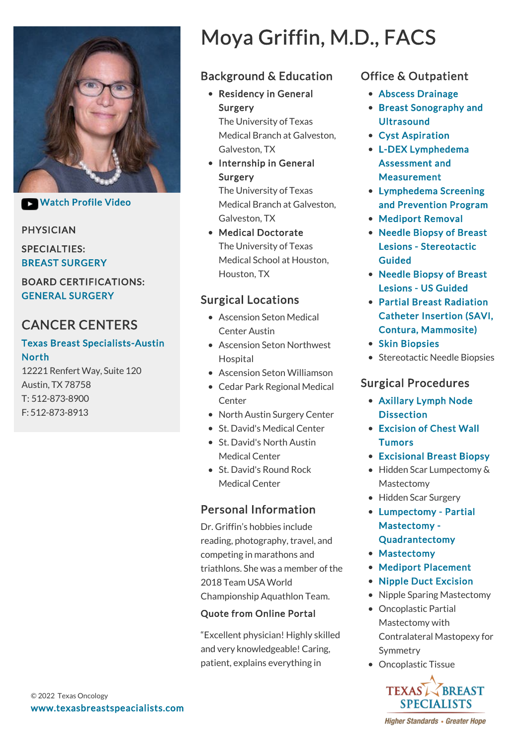

**Watch Profile Video** 

#### PHYSICIAN

SPECIALTIES: BREAST SURGERY

#### BOARD CERTIFICATIONS: GENERAL SURGERY

# CANCER CENTERS

#### [Texas Breast Specialists-Austin](https://www.texasbreastspecialists.com/locations/Austin/Texas-Breast-Specialists-Austin-North) North

12221 Renfert Way, Suite 120 Austin, TX 78758 T: [512-873-8900](tel:512-873-8900) F: 512-873-8913

# Moya Griffin, M.D., FACS

## Background & Education

• Residency in General Surgery

The University of Texas Medical Branch at Galveston, Galveston, TX

• Internship in General Surgery

> The University of Texas Medical Branch at Galveston, Galveston, TX

Medical Doctorate The University of Texas Medical School at Houston, Houston, TX

## Surgical Locations

- Ascension Seton Medical Center Austin
- Ascension Seton Northwest Hospital
- Ascension Seton Williamson
- Cedar Park Regional Medical **Center**
- North Austin Surgery Center
- St. David's Medical Center
- St. David's North Austin Medical Center
- St. David's Round Rock Medical Center

## Personal Information

Dr. Griffin's hobbies include reading, photography, travel, and competing in marathons and triathlons. She was a member of the 2018 Team USA World Championship Aquathlon Team.

#### Quote from Online Portal

"Excellent physician! Highly skilled and very knowledgeable! Caring, patient, explains everything in

## Office & Outpatient

- [Abscess Drainage](https://www.texasbreastspecialists.com/procedures-services/office-outpatient-procedures-services/abscess-drainage)
- [Breast Sonography and](https://www.texasbreastspecialists.com/procedures-services/office-outpatient-procedures-services/breast-sonography-ultrasound) **Ultrasound**
- [Cyst Aspiration](https://www.texasbreastspecialists.com/procedures-services/office-outpatient-procedures-services/cyst-aspiration)
- [L-DEX Lymphedema](https://www.texasbreastspecialists.com/procedures-services/office-outpatient-procedures-services/l-dex-lymphedema-assessment-measurement) Assessment and Measurement
- Lymphedema Screening [and Prevention Program](https://www.texasbreastspecialists.com/procedures-services/lymphedema-prevention-program)
- [Mediport Removal](https://www.texasbreastspecialists.com/procedures-services/office-outpatient-procedures-services/mediport-removal)
- [Needle Biopsy of Breast](https://www.texasbreastspecialists.com/procedures-services/office-outpatient-procedures-services/needle-biopsy-of-breast-lesions/stereotactic-guided) Lesions - Stereotactic Guided
- [Needle Biopsy of Breast](https://www.texasbreastspecialists.com/procedures-services/office-outpatient-procedures-services/needle-biopsy-of-breast-lesions/us-guided) Lesions - US Guided
- Partial Breast Radiation [Catheter Insertion \(SAVI,](https://www.texasbreastspecialists.com/procedures-services/office-outpatient-procedures-services/partial-breast-radiation-catheter-insertion-(savi,-contura,-mammosite)) Contura, Mammosite)
- [Skin Biopsies](https://www.texasbreastspecialists.com/procedures-services/office-outpatient-procedures-services/skin-biopsies)
- Stereotactic Needle Biopsies

## Surgical Procedures

- [Axillary Lymph Node](https://www.texasbreastspecialists.com/procedures-services/surgical-procedures/axillary-dissection) **Dissection**
- [Excision of Chest Wall](https://www.texasbreastspecialists.com/procedures-services/surgical-procedures/excision-of-chest-wall-tumors) **Tumors**
- [Excisional Breast Biopsy](https://www.texasbreastspecialists.com/procedures-services/surgical-procedures/excisional-breast-biopsy)
- Hidden Scar Lumpectomy & Mastectomy
- Hidden Scar Surgery
- [Lumpectomy Partial](https://www.texasbreastspecialists.com/procedures-services/surgical-procedures/lumpectomy-partial-mastectomy-quadrantectomy) Mastectomy - Quadrantectomy
- [Mastectomy](https://www.texasbreastspecialists.com/procedures-services/surgical-procedures/mastectomy)
- [Mediport Placement](https://www.texasbreastspecialists.com/procedures-services/surgical-procedures/mediport-placement)
- [Nipple Duct Excision](https://www.texasbreastspecialists.com/procedures-services/surgical-procedures/nipple-duct-excision)
- Nipple Sparing Mastectomy
- Oncoplastic Partial Mastectomy with Contralateral Mastopexy for Symmetry
- Oncoplastic Tissue



**Higher Standards • Greater Hope**